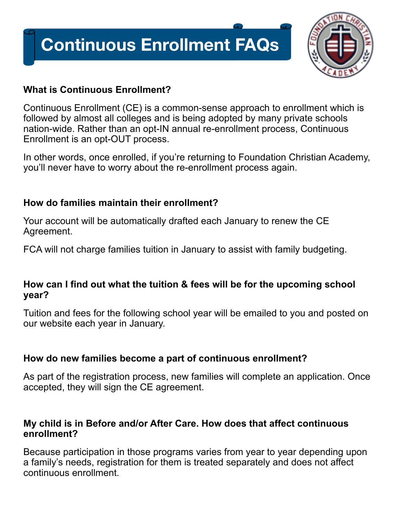# **Continuous Enrollment FAQs**



# **What is Continuous Enrollment?**

Continuous Enrollment (CE) is a common-sense approach to enrollment which is followed by almost all colleges and is being adopted by many private schools nation-wide. Rather than an opt-IN annual re-enrollment process, Continuous Enrollment is an opt-OUT process.

In other words, once enrolled, if you're returning to Foundation Christian Academy, you'll never have to worry about the re-enrollment process again.

# **How do families maintain their enrollment?**

Your account will be automatically drafted each January to renew the CE Agreement.

FCA will not charge families tuition in January to assist with family budgeting.

### **How can I find out what the tuition & fees will be for the upcoming school year?**

Tuition and fees for the following school year will be emailed to you and posted on our website each year in January.

# **How do new families become a part of continuous enrollment?**

As part of the registration process, new families will complete an application. Once accepted, they will sign the CE agreement.

#### **My child is in Before and/or After Care. How does that affect continuous enrollment?**

Because participation in those programs varies from year to year depending upon a family's needs, registration for them is treated separately and does not affect continuous enrollment.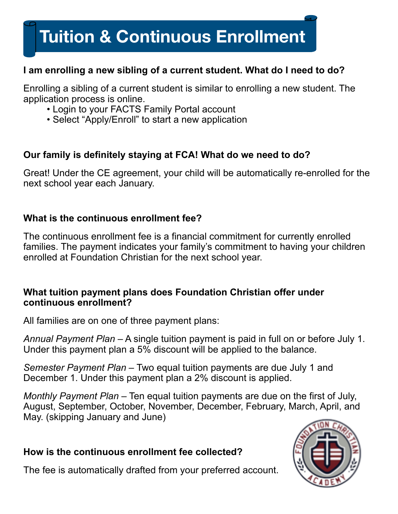# **Tuition & Continuous Enrollment**

# **I am enrolling a new sibling of a current student. What do I need to do?**

Enrolling a sibling of a current student is similar to enrolling a new student. The application process is online.

- Login to your FACTS Family Portal account
- Select "Apply/Enroll" to start a new application

# **Our family is definitely staying at FCA! What do we need to do?**

Great! Under the CE agreement, your child will be automatically re-enrolled for the next school year each January.

#### **What is the continuous enrollment fee?**

The continuous enrollment fee is a financial commitment for currently enrolled families. The payment indicates your family's commitment to having your children enrolled at Foundation Christian for the next school year.

#### **What tuition payment plans does Foundation Christian offer under continuous enrollment?**

All families are on one of three payment plans:

*Annual Payment Plan* – A single tuition payment is paid in full on or before July 1. Under this payment plan a 5% discount will be applied to the balance.

*Semester Payment Plan* – Two equal tuition payments are due July 1 and December 1. Under this payment plan a 2% discount is applied.

*Monthly Payment Plan* – Ten equal tuition payments are due on the first of July, August, September, October, November, December, February, March, April, and May. (skipping January and June)

### **How is the continuous enrollment fee collected?**

The fee is automatically drafted from your preferred account.

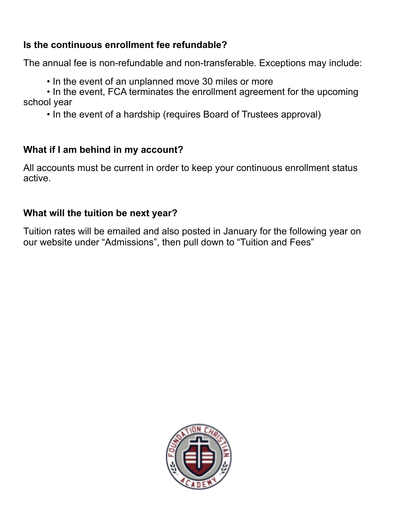# **Is the continuous enrollment fee refundable?**

The annual fee is non-refundable and non-transferable. Exceptions may include:

• In the event of an unplanned move 30 miles or more

• In the event, FCA terminates the enrollment agreement for the upcoming school year

• In the event of a hardship (requires Board of Trustees approval)

# **What if I am behind in my account?**

All accounts must be current in order to keep your continuous enrollment status active.

# **What will the tuition be next year?**

Tuition rates will be emailed and also posted in January for the following year on our website under "Admissions", then pull down to "Tuition and Fees"

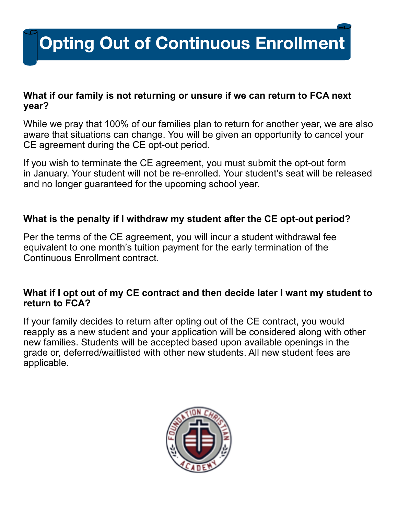# **Opting Out of Continuous Enrollment**

#### **What if our family is not returning or unsure if we can return to FCA next year?**

While we pray that 100% of our families plan to return for another year, we are also aware that situations can change. You will be given an opportunity to cancel your CE agreement during the CE opt-out period.

If you wish to terminate the CE agreement, you must submit the opt-out form in January. Your student will not be re-enrolled. Your student's seat will be released and no longer guaranteed for the upcoming school year.

#### **What is the penalty if I withdraw my student after the CE opt-out period?**

Per the terms of the CE agreement, you will incur a student withdrawal fee equivalent to one month's tuition payment for the early termination of the Continuous Enrollment contract.

#### **What if I opt out of my CE contract and then decide later I want my student to return to FCA?**

If your family decides to return after opting out of the CE contract, you would reapply as a new student and your application will be considered along with other new families. Students will be accepted based upon available openings in the grade or, deferred/waitlisted with other new students. All new student fees are applicable.